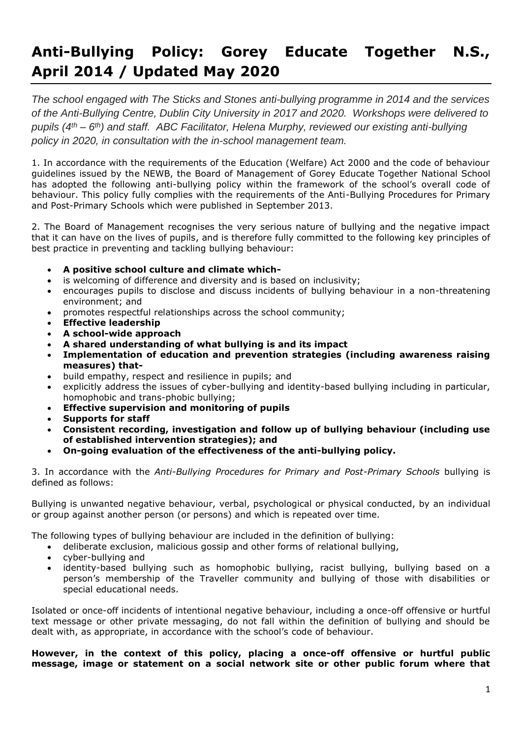# **Anti-Bullying Policy: Gorey Educate Together N.S., April 2014 / Updated May 2020**

*The school engaged with The Sticks and Stones anti-bullying programme in 2014 and the services of the Anti-Bullying Centre, Dublin City University in 2017 and 2020. Workshops were delivered to pupils (4th – 6 th) and staff. ABC Facilitator, Helena Murphy, reviewed our existing anti-bullying policy in 2020, in consultation with the in-school management team.*

1. In accordance with the requirements of the Education (Welfare) Act 2000 and the code of behaviour guidelines issued by the NEWB, the Board of Management of Gorey Educate Together National School has adopted the following anti-bullying policy within the framework of the school's overall code of behaviour. This policy fully complies with the requirements of the Anti-Bullying Procedures for Primary and Post-Primary Schools which were published in September 2013.

2. The Board of Management recognises the very serious nature of bullying and the negative impact that it can have on the lives of pupils, and is therefore fully committed to the following key principles of best practice in preventing and tackling bullying behaviour:

- **A positive school culture and climate which-**
- is welcoming of difference and diversity and is based on inclusivity;
- encourages pupils to disclose and discuss incidents of bullying behaviour in a non-threatening environment; and
- promotes respectful relationships across the school community;
- **Effective leadership**
- **A school-wide approach**
- **A shared understanding of what bullying is and its impact**
- **Implementation of education and prevention strategies (including awareness raising measures) that-**
- build empathy, respect and resilience in pupils; and
- explicitly address the issues of cyber-bullying and identity-based bullying including in particular, homophobic and trans-phobic bullying;
- **Effective supervision and monitoring of pupils**
- **Supports for staff**
- **Consistent recording, investigation and follow up of bullying behaviour (including use of established intervention strategies); and**
- **On-going evaluation of the effectiveness of the anti-bullying policy.**

3. In accordance with the *Anti-Bullying Procedures for Primary and Post-Primary Schools* bullying is defined as follows:

Bullying is unwanted negative behaviour, verbal, psychological or physical conducted, by an individual or group against another person (or persons) and which is repeated over time.

The following types of bullying behaviour are included in the definition of bullying:

- deliberate exclusion, malicious gossip and other forms of relational bullying,
- cyber-bullying and
- identity-based bullying such as homophobic bullying, racist bullying, bullying based on a person's membership of the Traveller community and bullying of those with disabilities or special educational needs.

Isolated or once-off incidents of intentional negative behaviour, including a once-off offensive or hurtful text message or other private messaging, do not fall within the definition of bullying and should be dealt with, as appropriate, in accordance with the school's code of behaviour.

**However, in the context of this policy, placing a once-off offensive or hurtful public message, image or statement on a social network site or other public forum where that**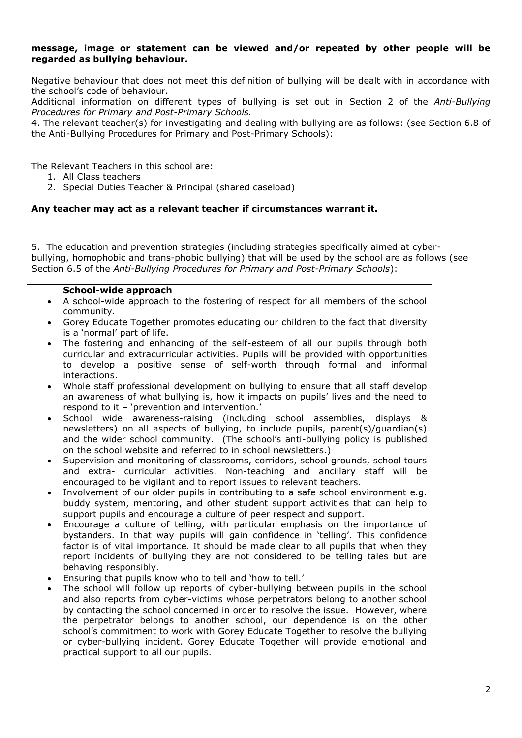#### **message, image or statement can be viewed and/or repeated by other people will be regarded as bullying behaviour.**

Negative behaviour that does not meet this definition of bullying will be dealt with in accordance with the school's code of behaviour.

Additional information on different types of bullying is set out in Section 2 of the *Anti-Bullying Procedures for Primary and Post-Primary Schools.*

4. The relevant teacher(s) for investigating and dealing with bullying are as follows: (see Section 6.8 of the Anti-Bullying Procedures for Primary and Post-Primary Schools):

The Relevant Teachers in this school are:

- 1. All Class teachers
- 2. Special Duties Teacher & Principal (shared caseload)

## **Any teacher may act as a relevant teacher if circumstances warrant it.**

5. The education and prevention strategies (including strategies specifically aimed at cyberbullying, homophobic and trans-phobic bullying) that will be used by the school are as follows (see Section 6.5 of the *Anti-Bullying Procedures for Primary and Post-Primary Schools*):

### **School-wide approach**

- A school-wide approach to the fostering of respect for all members of the school community.
- Gorey Educate Together promotes educating our children to the fact that diversity is a 'normal' part of life.
- The fostering and enhancing of the self-esteem of all our pupils through both curricular and extracurricular activities. Pupils will be provided with opportunities to develop a positive sense of self-worth through formal and informal interactions.
- Whole staff professional development on bullying to ensure that all staff develop an awareness of what bullying is, how it impacts on pupils' lives and the need to respond to it – 'prevention and intervention.'
- School wide awareness-raising (including school assemblies, displays & newsletters) on all aspects of bullying, to include pupils, parent(s)/guardian(s) and the wider school community. (The school's anti-bullying policy is published on the school website and referred to in school newsletters.)
- Supervision and monitoring of classrooms, corridors, school grounds, school tours and extra- curricular activities. Non-teaching and ancillary staff will be encouraged to be vigilant and to report issues to relevant teachers.
- Involvement of our older pupils in contributing to a safe school environment e.g. buddy system, mentoring, and other student support activities that can help to support pupils and encourage a culture of peer respect and support.
- Encourage a culture of telling, with particular emphasis on the importance of bystanders. In that way pupils will gain confidence in 'telling'. This confidence factor is of vital importance. It should be made clear to all pupils that when they report incidents of bullying they are not considered to be telling tales but are behaving responsibly.
- Ensuring that pupils know who to tell and 'how to tell.'
- The school will follow up reports of cyber-bullying between pupils in the school and also reports from cyber-victims whose perpetrators belong to another school by contacting the school concerned in order to resolve the issue. However, where the perpetrator belongs to another school, our dependence is on the other school's commitment to work with Gorey Educate Together to resolve the bullying or cyber-bullying incident. Gorey Educate Together will provide emotional and practical support to all our pupils.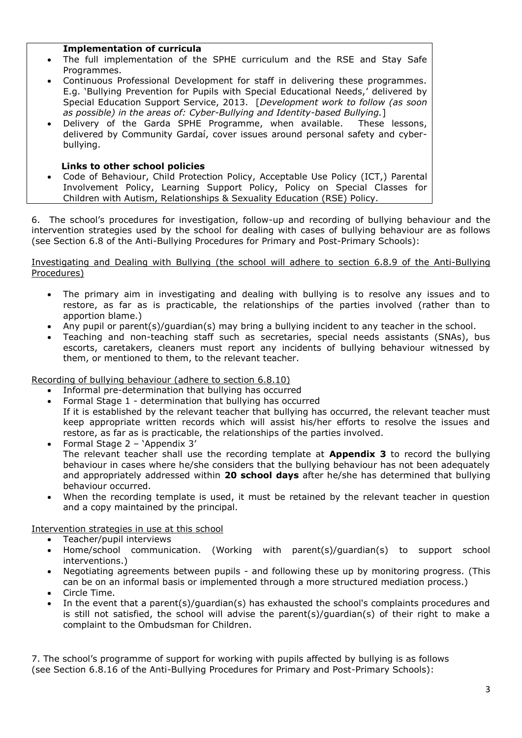#### **Implementation of curricula**

- The full implementation of the SPHE curriculum and the RSE and Stay Safe Programmes.
- Continuous Professional Development for staff in delivering these programmes. E.g. 'Bullying Prevention for Pupils with Special Educational Needs,' delivered by Special Education Support Service, 2013. [*Development work to follow (as soon as possible) in the areas of: Cyber-Bullying and Identity-based Bullying.*]
- Delivery of the Garda SPHE Programme, when available. These lessons, delivered by Community Gardaí, cover issues around personal safety and cyberbullying.

### **Links to other school policies**

• Code of Behaviour, Child Protection Policy, Acceptable Use Policy (ICT,) Parental Involvement Policy, Learning Support Policy, Policy on Special Classes for Children with Autism, Relationships & Sexuality Education (RSE) Policy.

6. The school's procedures for investigation, follow-up and recording of bullying behaviour and the intervention strategies used by the school for dealing with cases of bullying behaviour are as follows (see Section 6.8 of the Anti-Bullying Procedures for Primary and Post-Primary Schools):

#### Investigating and Dealing with Bullying (the school will adhere to section 6.8.9 of the Anti-Bullying Procedures)

- The primary aim in investigating and dealing with bullying is to resolve any issues and to restore, as far as is practicable, the relationships of the parties involved (rather than to apportion blame.)
- Any pupil or parent(s)/guardian(s) may bring a bullying incident to any teacher in the school.
- Teaching and non-teaching staff such as secretaries, special needs assistants (SNAs), bus escorts, caretakers, cleaners must report any incidents of bullying behaviour witnessed by them, or mentioned to them, to the relevant teacher.

Recording of bullying behaviour (adhere to section 6.8.10)

- Informal pre-determination that bullying has occurred
- Formal Stage 1 determination that bullying has occurred If it is established by the relevant teacher that bullying has occurred, the relevant teacher must keep appropriate written records which will assist his/her efforts to resolve the issues and restore, as far as is practicable, the relationships of the parties involved.
- Formal Stage 2 'Appendix 3' The relevant teacher shall use the recording template at **Appendix 3** to record the bullying behaviour in cases where he/she considers that the bullying behaviour has not been adequately and appropriately addressed within **20 school days** after he/she has determined that bullying behaviour occurred.
- When the recording template is used, it must be retained by the relevant teacher in question and a copy maintained by the principal.

## Intervention strategies in use at this school

- Teacher/pupil interviews
- Home/school communication. (Working with parent(s)/guardian(s) to support school interventions.)
- Negotiating agreements between pupils and following these up by monitoring progress. (This can be on an informal basis or implemented through a more structured mediation process.)
- Circle Time.
- In the event that a parent(s)/guardian(s) has exhausted the school's complaints procedures and is still not satisfied, the school will advise the parent(s)/guardian(s) of their right to make a complaint to the Ombudsman for Children.

7. The school's programme of support for working with pupils affected by bullying is as follows (see Section 6.8.16 of the Anti-Bullying Procedures for Primary and Post-Primary Schools):